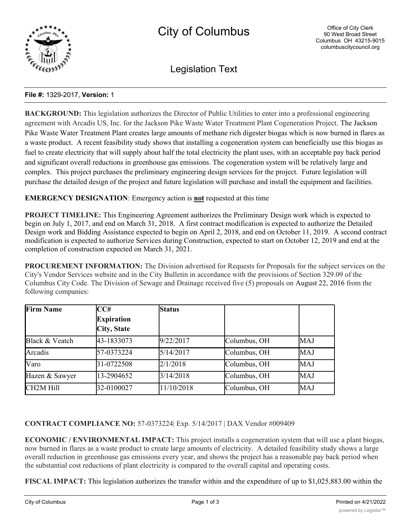

Legislation Text

## **File #:** 1329-2017, **Version:** 1

**BACKGROUND:** This legislation authorizes the Director of Public Utilities to enter into a professional engineering agreement with Arcadis US, Inc. for the Jackson Pike Waste Water Treatment Plant Cogeneration Project. The Jackson Pike Waste Water Treatment Plant creates large amounts of methane rich digester biogas which is now burned in flares as a waste product. A recent feasibility study shows that installing a cogeneration system can beneficially use this biogas as fuel to create electricity that will supply about half the total electricity the plant uses, with an acceptable pay back period and significant overall reductions in greenhouse gas emissions. The cogeneration system will be relatively large and complex. This project purchases the preliminary engineering design services for the project. Future legislation will purchase the detailed design of the project and future legislation will purchase and install the equipment and facilities.

**EMERGENCY DESIGNATION**: Emergency action is **not** requested at this time

**PROJECT TIMELINE:** This Engineering Agreement authorizes the Preliminary Design work which is expected to begin on July 1, 2017, and end on March 31, 2018. A first contract modification is expected to authorize the Detailed Design work and Bidding Assistance expected to begin on April 2, 2018, and end on October 11, 2019. A second contract modification is expected to authorize Services during Construction, expected to start on October 12, 2019 and end at the completion of construction expected on March 31, 2021.

**PROCUREMENT INFORMATION:** The Division advertised for Requests for Proposals for the subject services on the City's Vendor Services website and in the City Bulletin in accordance with the provisions of Section 329.09 of the Columbus City Code. The Division of Sewage and Drainage received five (5) proposals on August 22, 2016 from the following companies:

| <b>Firm Name</b>       | CC#                | <b>Status</b> |              |            |
|------------------------|--------------------|---------------|--------------|------------|
|                        | <b>Expiration</b>  |               |              |            |
|                        | <b>City, State</b> |               |              |            |
| Black & Veatch         | 43-1833073         | 9/22/2017     | Columbus, OH | MAJ        |
| Arcadis                | 57-0373224         | 5/14/2017     | Columbus, OH | <b>MAJ</b> |
| Varo                   | 31-0722508         | 2/1/2018      | Columbus, OH | MAJ        |
| Hazen & Sawyer         | 13-2904652         | 3/14/2018     | Columbus, OH | MAJ        |
| CH <sub>2</sub> M Hill | 32-0100027         | 11/10/2018    | Columbus, OH | MAJ        |

**CONTRACT COMPLIANCE NO:** 57-0373224| Exp. 5/14/2017 | DAX Vendor #009409

**ECONOMIC / ENVIRONMENTAL IMPACT:** This project installs a cogeneration system that will use a plant biogas, now burned in flares as a waste product to create large amounts of electricity. A detailed feasibility study shows a large overall reduction in greenhouse gas emissions every year, and shows the project has a reasonable pay back period when the substantial cost reductions of plant electricity is compared to the overall capital and operating costs.

**FISCAL IMPACT:** This legislation authorizes the transfer within and the expenditure of up to \$1,025,883.00 within the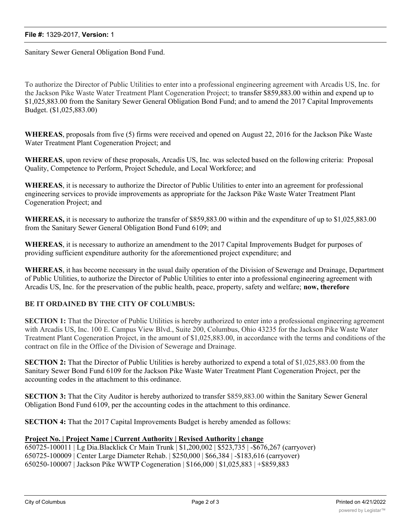Sanitary Sewer General Obligation Bond Fund.

To authorize the Director of Public Utilities to enter into a professional engineering agreement with Arcadis US, Inc. for the Jackson Pike Waste Water Treatment Plant Cogeneration Project; to transfer \$859,883.00 within and expend up to \$1,025,883.00 from the Sanitary Sewer General Obligation Bond Fund; and to amend the 2017 Capital Improvements Budget. (\$1,025,883.00)

**WHEREAS**, proposals from five (5) firms were received and opened on August 22, 2016 for the Jackson Pike Waste Water Treatment Plant Cogeneration Project; and

**WHEREAS**, upon review of these proposals, Arcadis US, Inc. was selected based on the following criteria: Proposal Quality, Competence to Perform, Project Schedule, and Local Workforce; and

**WHEREAS**, it is necessary to authorize the Director of Public Utilities to enter into an agreement for professional engineering services to provide improvements as appropriate for the Jackson Pike Waste Water Treatment Plant Cogeneration Project; and

**WHEREAS,** it is necessary to authorize the transfer of \$859,883.00 within and the expenditure of up to \$1,025,883.00 from the Sanitary Sewer General Obligation Bond Fund 6109; and

**WHEREAS**, it is necessary to authorize an amendment to the 2017 Capital Improvements Budget for purposes of providing sufficient expenditure authority for the aforementioned project expenditure; and

**WHEREAS**, it has become necessary in the usual daily operation of the Division of Sewerage and Drainage, Department of Public Utilities, to authorize the Director of Public Utilities to enter into a professional engineering agreement with Arcadis US, Inc. for the preservation of the public health, peace, property, safety and welfare; **now, therefore**

## **BE IT ORDAINED BY THE CITY OF COLUMBUS:**

**SECTION 1:** That the Director of Public Utilities is hereby authorized to enter into a professional engineering agreement with Arcadis US, Inc. 100 E. Campus View Blvd., Suite 200, Columbus, Ohio 43235 for the Jackson Pike Waste Water Treatment Plant Cogeneration Project, in the amount of \$1,025,883.00, in accordance with the terms and conditions of the contract on file in the Office of the Division of Sewerage and Drainage.

**SECTION 2:** That the Director of Public Utilities is hereby authorized to expend a total of \$1,025,883.00 from the Sanitary Sewer Bond Fund 6109 for the Jackson Pike Waste Water Treatment Plant Cogeneration Project, per the accounting codes in the attachment to this ordinance.

**SECTION 3:** That the City Auditor is hereby authorized to transfer \$859,883.00 within the Sanitary Sewer General Obligation Bond Fund 6109, per the accounting codes in the attachment to this ordinance.

**SECTION 4:** That the 2017 Capital Improvements Budget is hereby amended as follows:

## **Project No. | Project Name | Current Authority | Revised Authority | change**

650725-100011 | Lg Dia.Blacklick Cr Main Trunk | \$1,200,002 | \$523,735 | -\$676,267 (carryover) 650725-100009 | Center Large Diameter Rehab. | \$250,000 | \$66,384 | -\$183,616 (carryover) 650250-100007 | Jackson Pike WWTP Cogeneration | \$166,000 | \$1,025,883 | +\$859,883